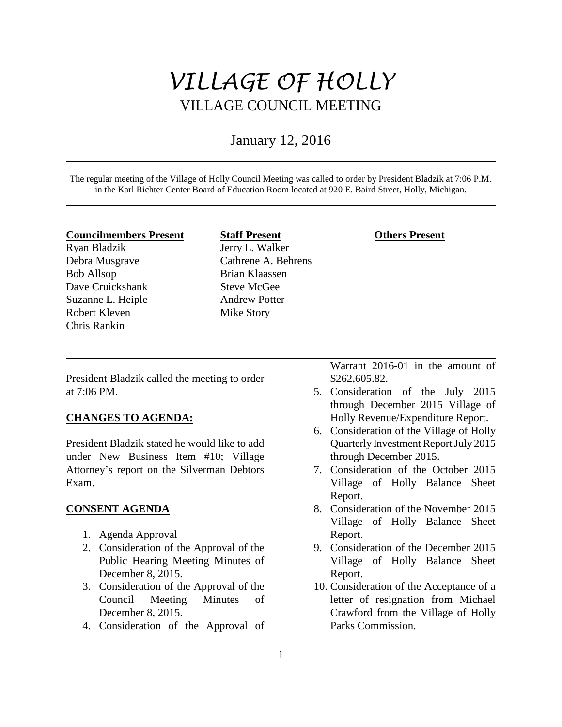# *VILLAGE OF HOLLY* VILLAGE COUNCIL MEETING

## January 12, 2016

The regular meeting of the Village of Holly Council Meeting was called to order by President Bladzik at 7:06 P.M. in the Karl Richter Center Board of Education Room located at 920 E. Baird Street, Holly, Michigan.

#### **Councilmembers Present**

Ryan Bladzik Debra Musgrave Bob Allsop Dave Cruickshank Suzanne L. Heiple Robert Kleven Chris Rankin

## **Staff Present** Jerry L. Walker Cathrene A. Behrens Brian Klaassen Steve McGee Andrew Potter

Mike Story

#### **Others Present**

President Bladzik called the meeting to order at 7:06 PM.

#### **CHANGES TO AGENDA:**

President Bladzik stated he would like to add under New Business Item #10; Village Attorney's report on the Silverman Debtors Exam.

#### **CONSENT AGENDA**

- 1. Agenda Approval
- 2. Consideration of the Approval of the Public Hearing Meeting Minutes of December 8, 2015.
- 3. Consideration of the Approval of the Council Meeting Minutes of December 8, 2015.
- 4. Consideration of the Approval of

Warrant 2016-01 in the amount of \$262,605.82.

- 5. Consideration of the July 2015 through December 2015 Village of Holly Revenue/Expenditure Report.
- 6. Consideration of the Village of Holly Quarterly Investment Report July 2015 through December 2015.
- 7. Consideration of the October 2015 Village of Holly Balance Sheet Report.
- 8. Consideration of the November 2015 Village of Holly Balance Sheet Report.
- 9. Consideration of the December 2015 Village of Holly Balance Sheet Report.
- 10. Consideration of the Acceptance of a letter of resignation from Michael Crawford from the Village of Holly Parks Commission.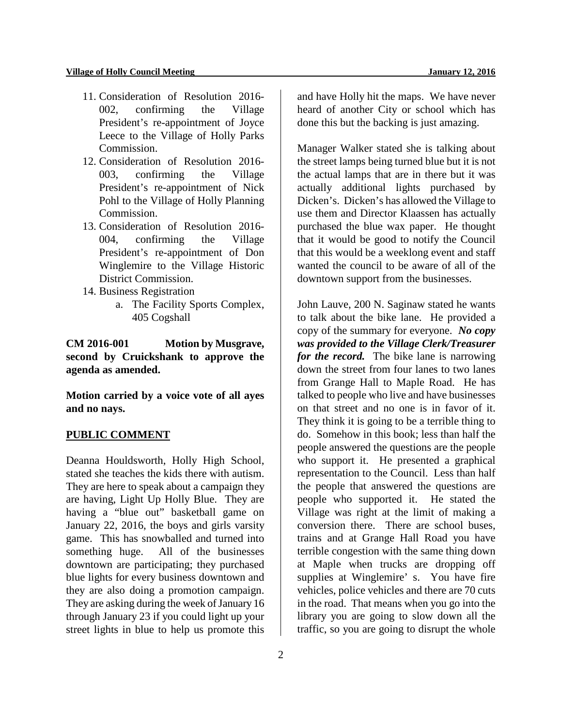- 11. Consideration of Resolution 2016- 002, confirming the Village President's re-appointment of Joyce Leece to the Village of Holly Parks Commission.
- 12. Consideration of Resolution 2016- 003, confirming the Village President's re-appointment of Nick Pohl to the Village of Holly Planning Commission.
- 13. Consideration of Resolution 2016- 004, confirming the Village President's re-appointment of Don Winglemire to the Village Historic District Commission.
- 14. Business Registration
	- a. The Facility Sports Complex, 405 Cogshall

**CM 2016-001 Motion by Musgrave, second by Cruickshank to approve the agenda as amended.**

**Motion carried by a voice vote of all ayes and no nays.** 

#### **PUBLIC COMMENT**

Deanna Houldsworth, Holly High School, stated she teaches the kids there with autism. They are here to speak about a campaign they are having, Light Up Holly Blue. They are having a "blue out" basketball game on January 22, 2016, the boys and girls varsity game. This has snowballed and turned into something huge. All of the businesses downtown are participating; they purchased blue lights for every business downtown and they are also doing a promotion campaign. They are asking during the week of January 16 through January 23 if you could light up your street lights in blue to help us promote this

and have Holly hit the maps. We have never heard of another City or school which has done this but the backing is just amazing.

Manager Walker stated she is talking about the street lamps being turned blue but it is not the actual lamps that are in there but it was actually additional lights purchased by Dicken's. Dicken's has allowed the Village to use them and Director Klaassen has actually purchased the blue wax paper. He thought that it would be good to notify the Council that this would be a weeklong event and staff wanted the council to be aware of all of the downtown support from the businesses.

John Lauve, 200 N. Saginaw stated he wants to talk about the bike lane. He provided a copy of the summary for everyone. *No copy was provided to the Village Clerk/Treasurer for the record.* The bike lane is narrowing down the street from four lanes to two lanes from Grange Hall to Maple Road. He has talked to people who live and have businesses on that street and no one is in favor of it. They think it is going to be a terrible thing to do. Somehow in this book; less than half the people answered the questions are the people who support it. He presented a graphical representation to the Council. Less than half the people that answered the questions are people who supported it. He stated the Village was right at the limit of making a conversion there. There are school buses, trains and at Grange Hall Road you have terrible congestion with the same thing down at Maple when trucks are dropping off supplies at Winglemire' s. You have fire vehicles, police vehicles and there are 70 cuts in the road. That means when you go into the library you are going to slow down all the traffic, so you are going to disrupt the whole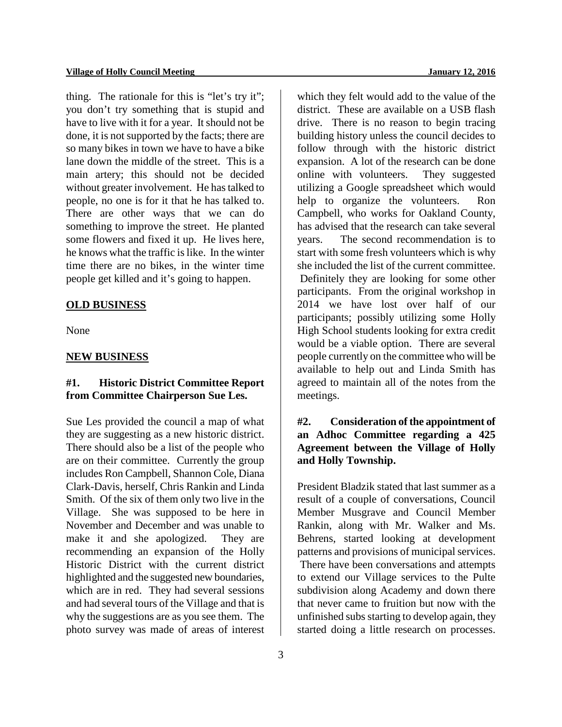thing. The rationale for this is "let's try it"; you don't try something that is stupid and have to live with it for a year. It should not be done, it is not supported by the facts; there are so many bikes in town we have to have a bike lane down the middle of the street. This is a main artery; this should not be decided without greater involvement. He has talked to people, no one is for it that he has talked to. There are other ways that we can do something to improve the street. He planted some flowers and fixed it up. He lives here, he knows what the traffic is like. In the winter time there are no bikes, in the winter time people get killed and it's going to happen.

## **OLD BUSINESS**

None

#### **NEW BUSINESS**

## **#1. Historic District Committee Report from Committee Chairperson Sue Les.**

Sue Les provided the council a map of what they are suggesting as a new historic district. There should also be a list of the people who are on their committee. Currently the group includes Ron Campbell, Shannon Cole, Diana Clark-Davis, herself, Chris Rankin and Linda Smith. Of the six of them only two live in the Village. She was supposed to be here in November and December and was unable to make it and she apologized. They are recommending an expansion of the Holly Historic District with the current district highlighted and the suggested new boundaries, which are in red. They had several sessions and had several tours of the Village and that is why the suggestions are as you see them. The photo survey was made of areas of interest

which they felt would add to the value of the district. These are available on a USB flash drive. There is no reason to begin tracing building history unless the council decides to follow through with the historic district expansion. A lot of the research can be done online with volunteers. They suggested utilizing a Google spreadsheet which would help to organize the volunteers. Ron Campbell, who works for Oakland County, has advised that the research can take several years. The second recommendation is to start with some fresh volunteers which is why she included the list of the current committee. Definitely they are looking for some other participants. From the original workshop in 2014 we have lost over half of our participants; possibly utilizing some Holly High School students looking for extra credit would be a viable option. There are several people currently on the committee who will be available to help out and Linda Smith has agreed to maintain all of the notes from the meetings.

## **#2. Consideration of the appointment of an Adhoc Committee regarding a 425 Agreement between the Village of Holly and Holly Township.**

President Bladzik stated that last summer as a result of a couple of conversations, Council Member Musgrave and Council Member Rankin, along with Mr. Walker and Ms. Behrens, started looking at development patterns and provisions of municipal services.

There have been conversations and attempts to extend our Village services to the Pulte subdivision along Academy and down there that never came to fruition but now with the unfinished subs starting to develop again, they started doing a little research on processes.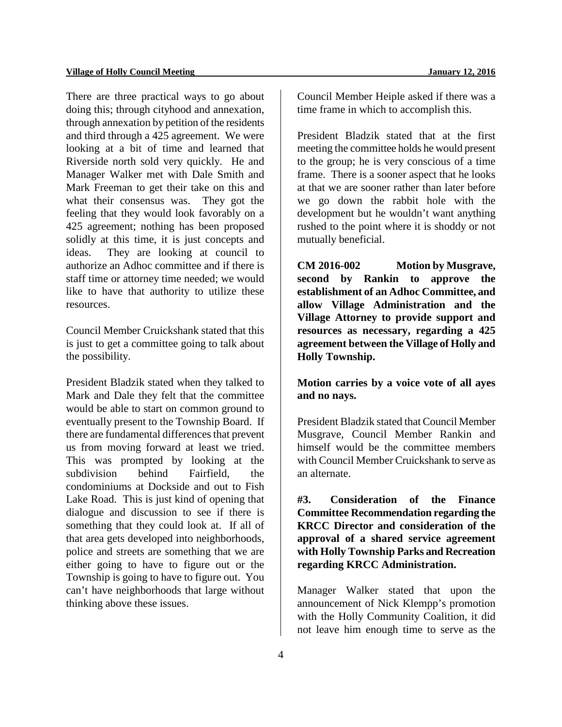There are three practical ways to go about doing this; through cityhood and annexation, through annexation by petition of the residents and third through a 425 agreement. We were looking at a bit of time and learned that Riverside north sold very quickly. He and Manager Walker met with Dale Smith and Mark Freeman to get their take on this and what their consensus was. They got the feeling that they would look favorably on a 425 agreement; nothing has been proposed solidly at this time, it is just concepts and ideas. They are looking at council to authorize an Adhoc committee and if there is staff time or attorney time needed; we would like to have that authority to utilize these resources.

Council Member Cruickshank stated that this is just to get a committee going to talk about the possibility.

President Bladzik stated when they talked to Mark and Dale they felt that the committee would be able to start on common ground to eventually present to the Township Board. If there are fundamental differences that prevent us from moving forward at least we tried. This was prompted by looking at the subdivision behind Fairfield, the condominiums at Dockside and out to Fish Lake Road. This is just kind of opening that dialogue and discussion to see if there is something that they could look at. If all of that area gets developed into neighborhoods, police and streets are something that we are either going to have to figure out or the Township is going to have to figure out. You can't have neighborhoods that large without thinking above these issues.

Council Member Heiple asked if there was a time frame in which to accomplish this.

President Bladzik stated that at the first meeting the committee holds he would present to the group; he is very conscious of a time frame. There is a sooner aspect that he looks at that we are sooner rather than later before we go down the rabbit hole with the development but he wouldn't want anything rushed to the point where it is shoddy or not mutually beneficial.

**CM 2016-002 Motion by Musgrave, second by Rankin to approve the establishment of an Adhoc Committee, and allow Village Administration and the Village Attorney to provide support and resources as necessary, regarding a 425 agreement between the Village of Holly and Holly Township.** 

**Motion carries by a voice vote of all ayes and no nays.** 

President Bladzik stated that Council Member Musgrave, Council Member Rankin and himself would be the committee members with Council Member Cruickshank to serve as an alternate.

**#3. Consideration of the Finance Committee Recommendation regarding the KRCC Director and consideration of the approval of a shared service agreement with Holly Township Parks and Recreation regarding KRCC Administration.**

Manager Walker stated that upon the announcement of Nick Klempp's promotion with the Holly Community Coalition, it did not leave him enough time to serve as the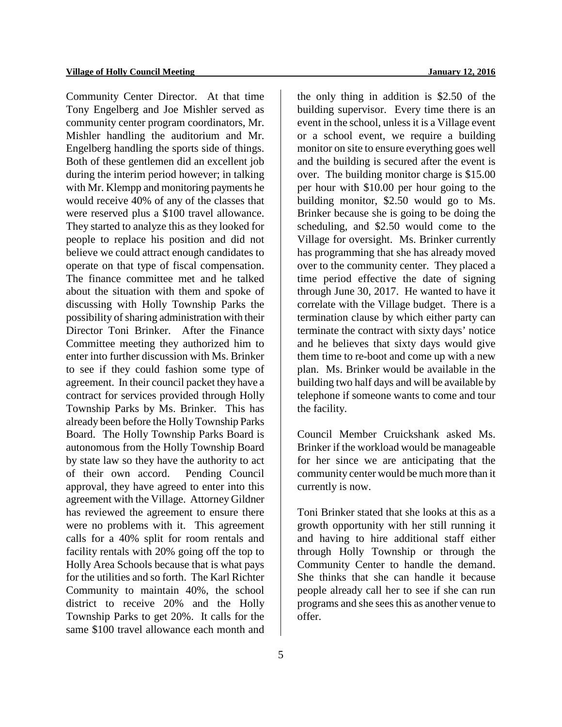Community Center Director. At that time Tony Engelberg and Joe Mishler served as community center program coordinators, Mr. Mishler handling the auditorium and Mr. Engelberg handling the sports side of things. Both of these gentlemen did an excellent job during the interim period however; in talking with Mr. Klempp and monitoring payments he would receive 40% of any of the classes that were reserved plus a \$100 travel allowance. They started to analyze this as they looked for people to replace his position and did not believe we could attract enough candidates to operate on that type of fiscal compensation. The finance committee met and he talked about the situation with them and spoke of discussing with Holly Township Parks the possibility of sharing administration with their Director Toni Brinker. After the Finance Committee meeting they authorized him to enter into further discussion with Ms. Brinker to see if they could fashion some type of agreement. In their council packet they have a contract for services provided through Holly Township Parks by Ms. Brinker. This has already been before the Holly Township Parks Board. The Holly Township Parks Board is autonomous from the Holly Township Board by state law so they have the authority to act of their own accord. Pending Council approval, they have agreed to enter into this agreement with the Village. Attorney Gildner has reviewed the agreement to ensure there were no problems with it. This agreement calls for a 40% split for room rentals and facility rentals with 20% going off the top to Holly Area Schools because that is what pays for the utilities and so forth. The Karl Richter Community to maintain 40%, the school district to receive 20% and the Holly Township Parks to get 20%. It calls for the same \$100 travel allowance each month and

building supervisor. Every time there is an event in the school, unless it is a Village event or a school event, we require a building monitor on site to ensure everything goes well and the building is secured after the event is over. The building monitor charge is \$15.00 per hour with \$10.00 per hour going to the building monitor, \$2.50 would go to Ms. Brinker because she is going to be doing the scheduling, and \$2.50 would come to the Village for oversight. Ms. Brinker currently has programming that she has already moved over to the community center. They placed a time period effective the date of signing through June 30, 2017. He wanted to have it correlate with the Village budget. There is a termination clause by which either party can terminate the contract with sixty days' notice and he believes that sixty days would give

the only thing in addition is \$2.50 of the

them time to re-boot and come up with a new plan. Ms. Brinker would be available in the building two half days and will be available by telephone if someone wants to come and tour the facility.

Council Member Cruickshank asked Ms. Brinker if the workload would be manageable for her since we are anticipating that the community center would be much more than it currently is now.

Toni Brinker stated that she looks at this as a growth opportunity with her still running it and having to hire additional staff either through Holly Township or through the Community Center to handle the demand. She thinks that she can handle it because people already call her to see if she can run programs and she sees this as another venue to offer.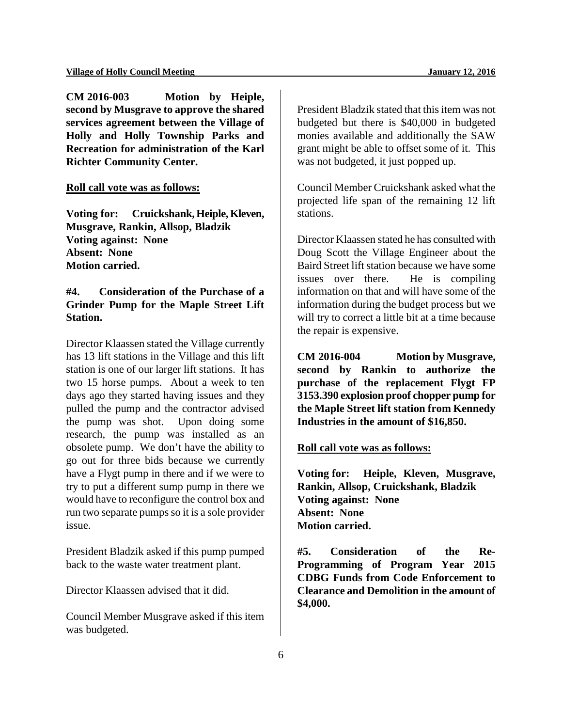**CM 2016-003 Motion by Heiple, second by Musgrave to approve the shared services agreement between the Village of Holly and Holly Township Parks and Recreation for administration of the Karl Richter Community Center.** 

#### **Roll call vote was as follows:**

**Voting for: Cruickshank, Heiple, Kleven, Musgrave, Rankin, Allsop, Bladzik Voting against: None Absent: None Motion carried.** 

## **#4. Consideration of the Purchase of a Grinder Pump for the Maple Street Lift Station.**

Director Klaassen stated the Village currently has 13 lift stations in the Village and this lift station is one of our larger lift stations. It has two 15 horse pumps. About a week to ten days ago they started having issues and they pulled the pump and the contractor advised the pump was shot. Upon doing some research, the pump was installed as an obsolete pump. We don't have the ability to go out for three bids because we currently have a Flygt pump in there and if we were to try to put a different sump pump in there we would have to reconfigure the control box and run two separate pumps so it is a sole provider issue.

President Bladzik asked if this pump pumped back to the waste water treatment plant.

Director Klaassen advised that it did.

Council Member Musgrave asked if this item was budgeted.

President Bladzik stated that this item was not budgeted but there is \$40,000 in budgeted monies available and additionally the SAW grant might be able to offset some of it. This was not budgeted, it just popped up.

Council Member Cruickshank asked what the projected life span of the remaining 12 lift stations.

Director Klaassen stated he has consulted with Doug Scott the Village Engineer about the Baird Street lift station because we have some issues over there. He is compiling information on that and will have some of the information during the budget process but we will try to correct a little bit at a time because the repair is expensive.

**CM 2016-004 Motion by Musgrave, second by Rankin to authorize the purchase of the replacement Flygt FP 3153.390 explosion proof chopper pump for the Maple Street lift station from Kennedy Industries in the amount of \$16,850.** 

#### **Roll call vote was as follows:**

**Voting for: Heiple, Kleven, Musgrave, Rankin, Allsop, Cruickshank, Bladzik Voting against: None Absent: None Motion carried.** 

**#5. Consideration of the Re-Programming of Program Year 2015 CDBG Funds from Code Enforcement to Clearance and Demolition in the amount of \$4,000.**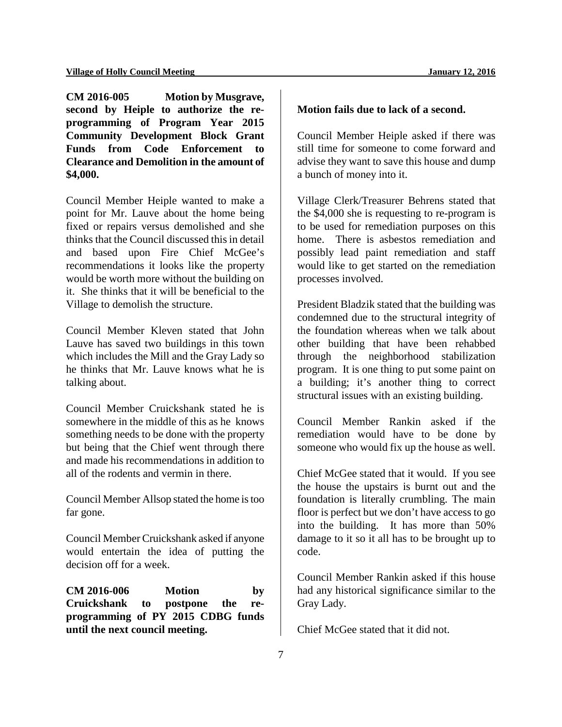**CM 2016-005 Motion by Musgrave, second by Heiple to authorize the reprogramming of Program Year 2015 Community Development Block Grant Funds from Code Enforcement to Clearance and Demolition in the amount of \$4,000.** 

Council Member Heiple wanted to make a point for Mr. Lauve about the home being fixed or repairs versus demolished and she thinks that the Council discussed this in detail and based upon Fire Chief McGee's recommendations it looks like the property would be worth more without the building on it. She thinks that it will be beneficial to the Village to demolish the structure.

Council Member Kleven stated that John Lauve has saved two buildings in this town which includes the Mill and the Gray Lady so he thinks that Mr. Lauve knows what he is talking about.

Council Member Cruickshank stated he is somewhere in the middle of this as he knows something needs to be done with the property but being that the Chief went through there and made his recommendations in addition to all of the rodents and vermin in there.

Council Member Allsop stated the home is too far gone.

Council Member Cruickshank asked if anyone would entertain the idea of putting the decision off for a week.

**CM 2016-006 Motion by Cruickshank to postpone the reprogramming of PY 2015 CDBG funds until the next council meeting.** 

#### **Motion fails due to lack of a second.**

Council Member Heiple asked if there was still time for someone to come forward and advise they want to save this house and dump a bunch of money into it.

Village Clerk/Treasurer Behrens stated that the \$4,000 she is requesting to re-program is to be used for remediation purposes on this home. There is asbestos remediation and possibly lead paint remediation and staff would like to get started on the remediation processes involved.

President Bladzik stated that the building was condemned due to the structural integrity of the foundation whereas when we talk about other building that have been rehabbed through the neighborhood stabilization program. It is one thing to put some paint on a building; it's another thing to correct structural issues with an existing building.

Council Member Rankin asked if the remediation would have to be done by someone who would fix up the house as well.

Chief McGee stated that it would. If you see the house the upstairs is burnt out and the foundation is literally crumbling. The main floor is perfect but we don't have access to go into the building. It has more than 50% damage to it so it all has to be brought up to code.

Council Member Rankin asked if this house had any historical significance similar to the Gray Lady.

Chief McGee stated that it did not.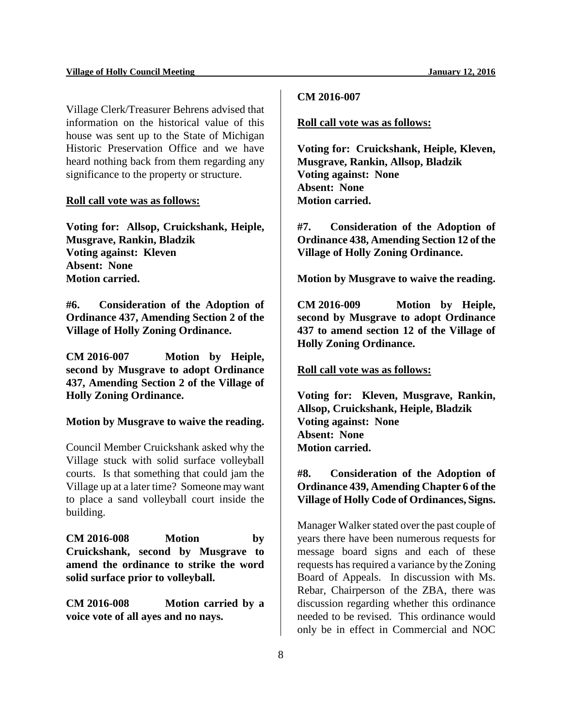**CM 2016-007**

Village Clerk/Treasurer Behrens advised that information on the historical value of this house was sent up to the State of Michigan Historic Preservation Office and we have heard nothing back from them regarding any significance to the property or structure.

#### **Roll call vote was as follows:**

**Voting for: Allsop, Cruickshank, Heiple, Musgrave, Rankin, Bladzik Voting against: Kleven Absent: None Motion carried.** 

**#6. Consideration of the Adoption of Ordinance 437, Amending Section 2 of the Village of Holly Zoning Ordinance.**

**CM 2016-007 Motion by Heiple, second by Musgrave to adopt Ordinance 437, Amending Section 2 of the Village of Holly Zoning Ordinance.** 

#### **Motion by Musgrave to waive the reading.**

Council Member Cruickshank asked why the Village stuck with solid surface volleyball courts. Is that something that could jam the Village up at a later time? Someone may want to place a sand volleyball court inside the building.

**CM 2016-008 Motion by Cruickshank, second by Musgrave to amend the ordinance to strike the word solid surface prior to volleyball.** 

**CM 2016-008 Motion carried by a voice vote of all ayes and no nays.** 

#### **Roll call vote was as follows:**

**Voting for: Cruickshank, Heiple, Kleven, Musgrave, Rankin, Allsop, Bladzik Voting against: None Absent: None Motion carried.** 

**#7. Consideration of the Adoption of Ordinance 438, Amending Section 12 of the Village of Holly Zoning Ordinance.**

**Motion by Musgrave to waive the reading.** 

**CM 2016-009 Motion by Heiple, second by Musgrave to adopt Ordinance 437 to amend section 12 of the Village of Holly Zoning Ordinance.** 

#### **Roll call vote was as follows:**

**Voting for: Kleven, Musgrave, Rankin, Allsop, Cruickshank, Heiple, Bladzik Voting against: None Absent: None Motion carried.** 

## **#8. Consideration of the Adoption of Ordinance 439, Amending Chapter 6 of the Village of Holly Code of Ordinances, Signs.**

Manager Walker stated over the past couple of years there have been numerous requests for message board signs and each of these requests has required a variance by the Zoning Board of Appeals. In discussion with Ms. Rebar, Chairperson of the ZBA, there was discussion regarding whether this ordinance needed to be revised. This ordinance would only be in effect in Commercial and NOC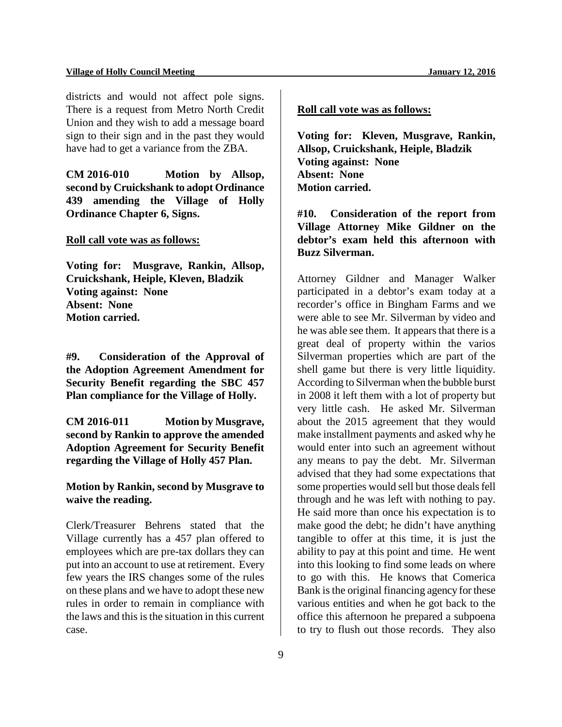#### **Village of Holly Council Meeting January 12, 2016**

districts and would not affect pole signs. There is a request from Metro North Credit Union and they wish to add a message board sign to their sign and in the past they would have had to get a variance from the ZBA.

**CM 2016-010 Motion by Allsop, second by Cruickshank to adopt Ordinance 439 amending the Village of Holly Ordinance Chapter 6, Signs.** 

#### **Roll call vote was as follows:**

**Voting for: Musgrave, Rankin, Allsop, Cruickshank, Heiple, Kleven, Bladzik Voting against: None Absent: None Motion carried.** 

**#9. Consideration of the Approval of the Adoption Agreement Amendment for Security Benefit regarding the SBC 457 Plan compliance for the Village of Holly.** 

**CM 2016-011 Motion by Musgrave, second by Rankin to approve the amended Adoption Agreement for Security Benefit regarding the Village of Holly 457 Plan.**

**Motion by Rankin, second by Musgrave to waive the reading.**

Clerk/Treasurer Behrens stated that the Village currently has a 457 plan offered to employees which are pre-tax dollars they can put into an account to use at retirement. Every few years the IRS changes some of the rules on these plans and we have to adopt these new rules in order to remain in compliance with the laws and this is the situation in this current case.

## **Roll call vote was as follows:**

**Voting for: Kleven, Musgrave, Rankin, Allsop, Cruickshank, Heiple, Bladzik Voting against: None Absent: None Motion carried.** 

**#10. Consideration of the report from Village Attorney Mike Gildner on the debtor's exam held this afternoon with Buzz Silverman.** 

Attorney Gildner and Manager Walker participated in a debtor's exam today at a recorder's office in Bingham Farms and we were able to see Mr. Silverman by video and he was able see them. It appears that there is a great deal of property within the varios Silverman properties which are part of the shell game but there is very little liquidity. According to Silverman when the bubble burst in 2008 it left them with a lot of property but very little cash. He asked Mr. Silverman about the 2015 agreement that they would make installment payments and asked why he would enter into such an agreement without any means to pay the debt. Mr. Silverman advised that they had some expectations that some properties would sell but those deals fell through and he was left with nothing to pay. He said more than once his expectation is to make good the debt; he didn't have anything tangible to offer at this time, it is just the ability to pay at this point and time. He went into this looking to find some leads on where to go with this. He knows that Comerica Bank is the original financing agency for these various entities and when he got back to the office this afternoon he prepared a subpoena to try to flush out those records. They also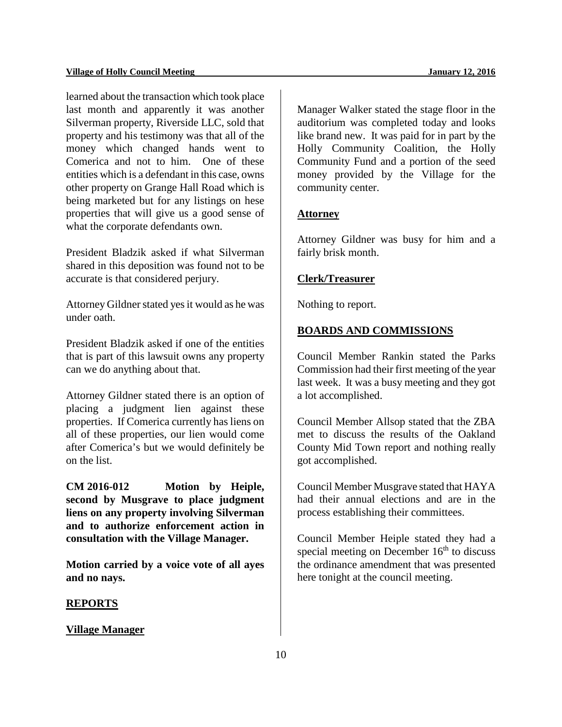learned about the transaction which took place last month and apparently it was another Silverman property, Riverside LLC, sold that property and his testimony was that all of the money which changed hands went to Comerica and not to him. One of these entities which is a defendant in this case, owns other property on Grange Hall Road which is being marketed but for any listings on hese properties that will give us a good sense of what the corporate defendants own.

President Bladzik asked if what Silverman shared in this deposition was found not to be accurate is that considered perjury.

Attorney Gildner stated yes it would as he was under oath.

President Bladzik asked if one of the entities that is part of this lawsuit owns any property can we do anything about that.

Attorney Gildner stated there is an option of placing a judgment lien against these properties. If Comerica currently has liens on all of these properties, our lien would come after Comerica's but we would definitely be on the list.

**CM 2016-012 Motion by Heiple, second by Musgrave to place judgment liens on any property involving Silverman and to authorize enforcement action in consultation with the Village Manager.**

**Motion carried by a voice vote of all ayes and no nays.** 

#### **REPORTS**

**Village Manager**

Manager Walker stated the stage floor in the auditorium was completed today and looks like brand new. It was paid for in part by the Holly Community Coalition, the Holly Community Fund and a portion of the seed money provided by the Village for the community center.

## **Attorney**

Attorney Gildner was busy for him and a fairly brisk month.

### **Clerk/Treasurer**

Nothing to report.

## **BOARDS AND COMMISSIONS**

Council Member Rankin stated the Parks Commission had their first meeting of the year last week. It was a busy meeting and they got a lot accomplished.

Council Member Allsop stated that the ZBA met to discuss the results of the Oakland County Mid Town report and nothing really got accomplished.

Council Member Musgrave stated that HAYA had their annual elections and are in the process establishing their committees.

Council Member Heiple stated they had a special meeting on December  $16<sup>th</sup>$  to discuss the ordinance amendment that was presented here tonight at the council meeting.